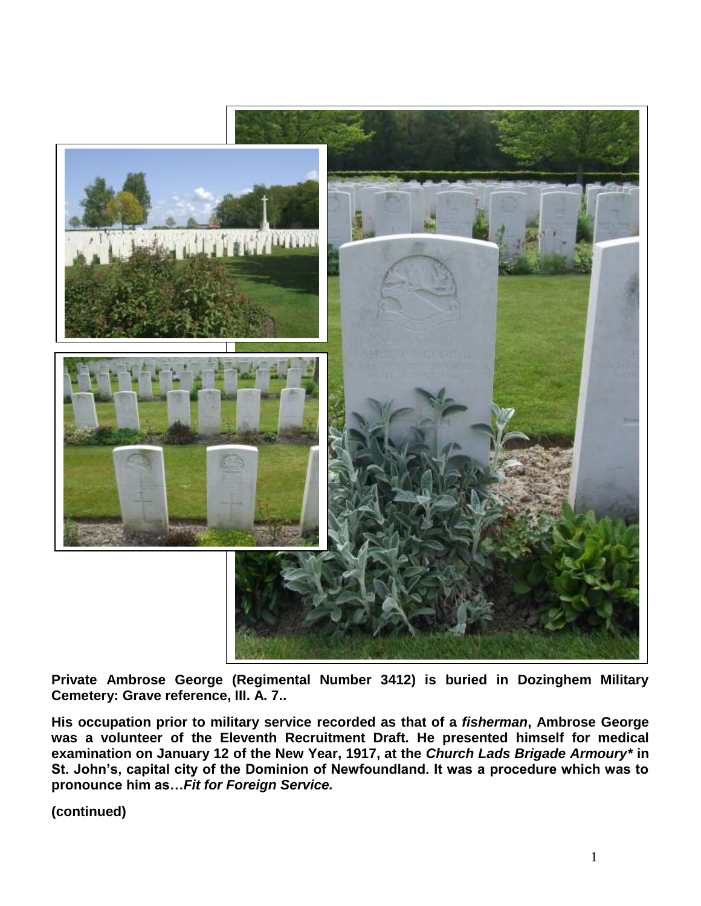

**Private Ambrose George (Regimental Number 3412) is buried in Dozinghem Military Cemetery: Grave reference, III. A. 7..**

**His occupation prior to military service recorded as that of a** *fisherman***, Ambrose George was a volunteer of the Eleventh Recruitment Draft. He presented himself for medical examination on January 12 of the New Year, 1917, at the** *Church Lads Brigade Armoury\** **in St. John's, capital city of the Dominion of Newfoundland. It was a procedure which was to pronounce him as…***Fit for Foreign Service.*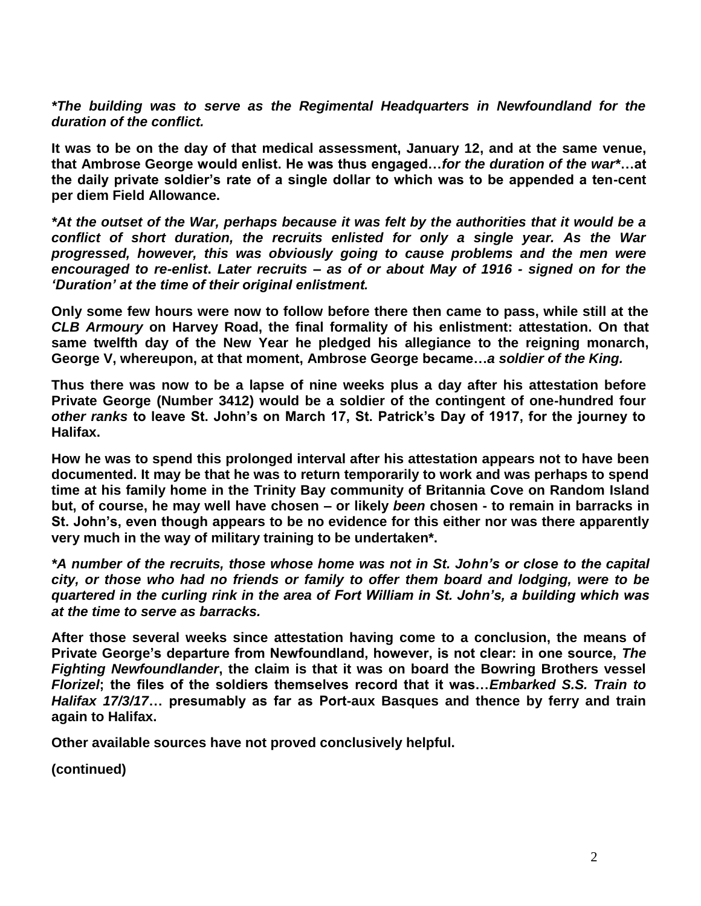*\*The building was to serve as the Regimental Headquarters in Newfoundland for the duration of the conflict.*

**It was to be on the day of that medical assessment, January 12, and at the same venue, that Ambrose George would enlist. He was thus engaged…***for the duration of the war\****…at the daily private soldier's rate of a single dollar to which was to be appended a ten-cent per diem Field Allowance.**

*\*At the outset of the War, perhaps because it was felt by the authorities that it would be a conflict of short duration, the recruits enlisted for only a single year. As the War progressed, however, this was obviously going to cause problems and the men were encouraged to re-enlist***.** *Later recruits – as of or about May of 1916 - signed on for the 'Duration' at the time of their original enlistment.*

**Only some few hours were now to follow before there then came to pass, while still at the**  *CLB Armoury* **on Harvey Road, the final formality of his enlistment: attestation. On that same twelfth day of the New Year he pledged his allegiance to the reigning monarch, George V, whereupon, at that moment, Ambrose George became…***a soldier of the King.*

**Thus there was now to be a lapse of nine weeks plus a day after his attestation before Private George (Number 3412) would be a soldier of the contingent of one-hundred four**  *other ranks* **to leave St. John's on March 17, St. Patrick's Day of 1917, for the journey to Halifax.** 

**How he was to spend this prolonged interval after his attestation appears not to have been documented. It may be that he was to return temporarily to work and was perhaps to spend time at his family home in the Trinity Bay community of Britannia Cove on Random Island but, of course, he may well have chosen – or likely** *been* **chosen - to remain in barracks in St. John's, even though appears to be no evidence for this either nor was there apparently very much in the way of military training to be undertaken\*.**

*\*A number of the recruits, those whose home was not in St. John's or close to the capital city, or those who had no friends or family to offer them board and lodging, were to be quartered in the curling rink in the area of Fort William in St. John's, a building which was at the time to serve as barracks.*

**After those several weeks since attestation having come to a conclusion, the means of Private George's departure from Newfoundland, however, is not clear: in one source,** *The Fighting Newfoundlander***, the claim is that it was on board the Bowring Brothers vessel**  *Florizel***; the files of the soldiers themselves record that it was…***Embarked S.S. Train to Halifax 17/3/17***… presumably as far as Port-aux Basques and thence by ferry and train again to Halifax.** 

**Other available sources have not proved conclusively helpful.**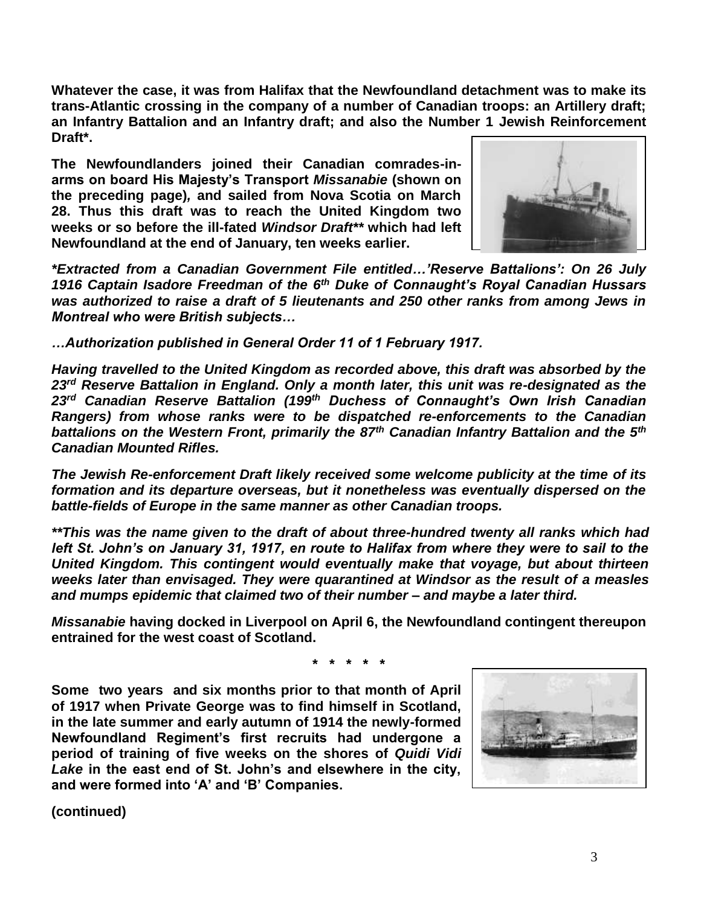**Whatever the case, it was from Halifax that the Newfoundland detachment was to make its trans-Atlantic crossing in the company of a number of Canadian troops: an Artillery draft; an Infantry Battalion and an Infantry draft; and also the Number 1 Jewish Reinforcement Draft\*.** 

**The Newfoundlanders joined their Canadian comrades-inarms on board His Majesty's Transport** *Missanabie* **(shown on the preceding page)***,* **and sailed from Nova Scotia on March 28. Thus this draft was to reach the United Kingdom two weeks or so before the ill-fated** *Windsor Draft\*\** **which had left Newfoundland at the end of January, ten weeks earlier.**



*\*Extracted from a Canadian Government File entitled…'Reserve Battalions': On 26 July 1916 Captain Isadore Freedman of the 6th Duke of Connaught's Royal Canadian Hussars was authorized to raise a draft of 5 lieutenants and 250 other ranks from among Jews in Montreal who were British subjects…*

*…Authorization published in General Order 11 of 1 February 1917.*

*Having travelled to the United Kingdom as recorded above, this draft was absorbed by the 23rd Reserve Battalion in England. Only a month later, this unit was re-designated as the 23rd Canadian Reserve Battalion (199th Duchess of Connaught's Own Irish Canadian Rangers) from whose ranks were to be dispatched re-enforcements to the Canadian battalions on the Western Front, primarily the 87th Canadian Infantry Battalion and the 5th Canadian Mounted Rifles.*

*The Jewish Re-enforcement Draft likely received some welcome publicity at the time of its formation and its departure overseas, but it nonetheless was eventually dispersed on the battle-fields of Europe in the same manner as other Canadian troops.* 

*\*\*This was the name given to the draft of about three-hundred twenty all ranks which had left St. John's on January 31, 1917, en route to Halifax from where they were to sail to the United Kingdom. This contingent would eventually make that voyage, but about thirteen weeks later than envisaged. They were quarantined at Windsor as the result of a measles and mumps epidemic that claimed two of their number – and maybe a later third.*

*Missanabie* **having docked in Liverpool on April 6, the Newfoundland contingent thereupon entrained for the west coast of Scotland.** 

**\* \* \* \* \***

**Some two years and six months prior to that month of April of 1917 when Private George was to find himself in Scotland, in the late summer and early autumn of 1914 the newly-formed Newfoundland Regiment's first recruits had undergone a period of training of five weeks on the shores of** *Quidi Vidi Lake* **in the east end of St. John's and elsewhere in the city, and were formed into 'A' and 'B' Companies.**

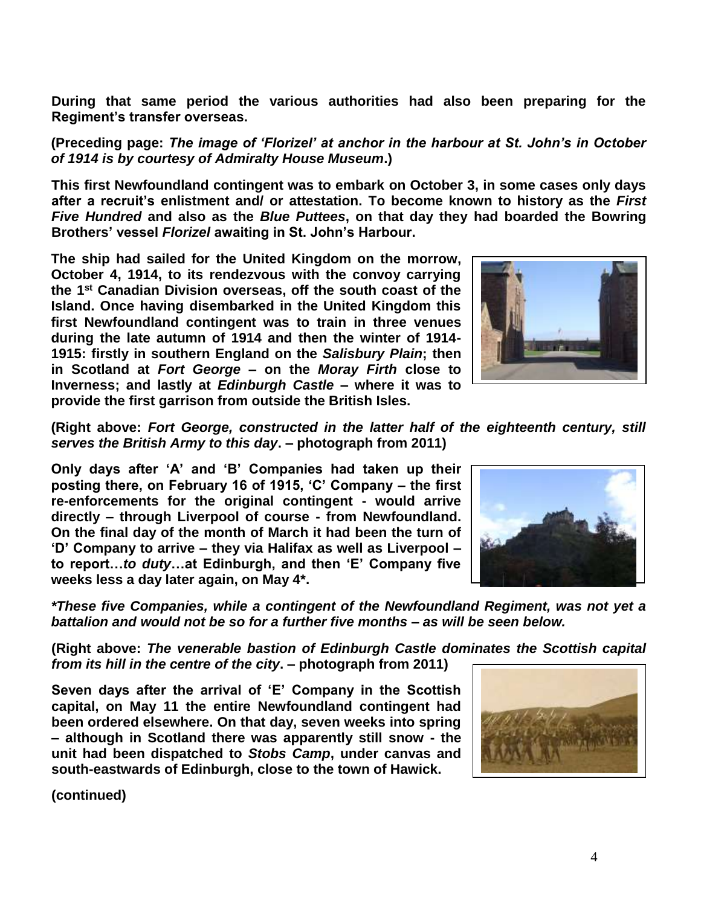**During that same period the various authorities had also been preparing for the Regiment's transfer overseas.**

**(Preceding page:** *The image of 'Florizel' at anchor in the harbour at St. John's in October of 1914 is by courtesy of Admiralty House Museum***.)**

**This first Newfoundland contingent was to embark on October 3, in some cases only days after a recruit's enlistment and/ or attestation. To become known to history as the** *First Five Hundred* **and also as the** *Blue Puttees***, on that day they had boarded the Bowring Brothers' vessel** *Florizel* **awaiting in St. John's Harbour.**

**The ship had sailed for the United Kingdom on the morrow, October 4, 1914, to its rendezvous with the convoy carrying the 1st Canadian Division overseas, off the south coast of the Island. Once having disembarked in the United Kingdom this first Newfoundland contingent was to train in three venues during the late autumn of 1914 and then the winter of 1914- 1915: firstly in southern England on the** *Salisbury Plain***; then in Scotland at** *Fort George* **– on the** *Moray Firth* **close to Inverness; and lastly at** *Edinburgh Castle* **– where it was to provide the first garrison from outside the British Isles.** 



**(Right above:** *Fort George, constructed in the latter half of the eighteenth century, still serves the British Army to this day***. – photograph from 2011)**

**Only days after 'A' and 'B' Companies had taken up their posting there, on February 16 of 1915, 'C' Company – the first re-enforcements for the original contingent - would arrive directly – through Liverpool of course - from Newfoundland. On the final day of the month of March it had been the turn of 'D' Company to arrive – they via Halifax as well as Liverpool – to report…***to duty***…at Edinburgh, and then 'E' Company five weeks less a day later again, on May 4\*.**



*battalion and would not be so for a further five months – as will be seen below.* **(Right above:** *The venerable bastion of Edinburgh Castle dominates the Scottish capital* 

*from its hill in the centre of the city***. – photograph from 2011)**

**Seven days after the arrival of 'E' Company in the Scottish capital, on May 11 the entire Newfoundland contingent had been ordered elsewhere. On that day, seven weeks into spring – although in Scotland there was apparently still snow - the unit had been dispatched to** *Stobs Camp***, under canvas and south-eastwards of Edinburgh, close to the town of Hawick.**

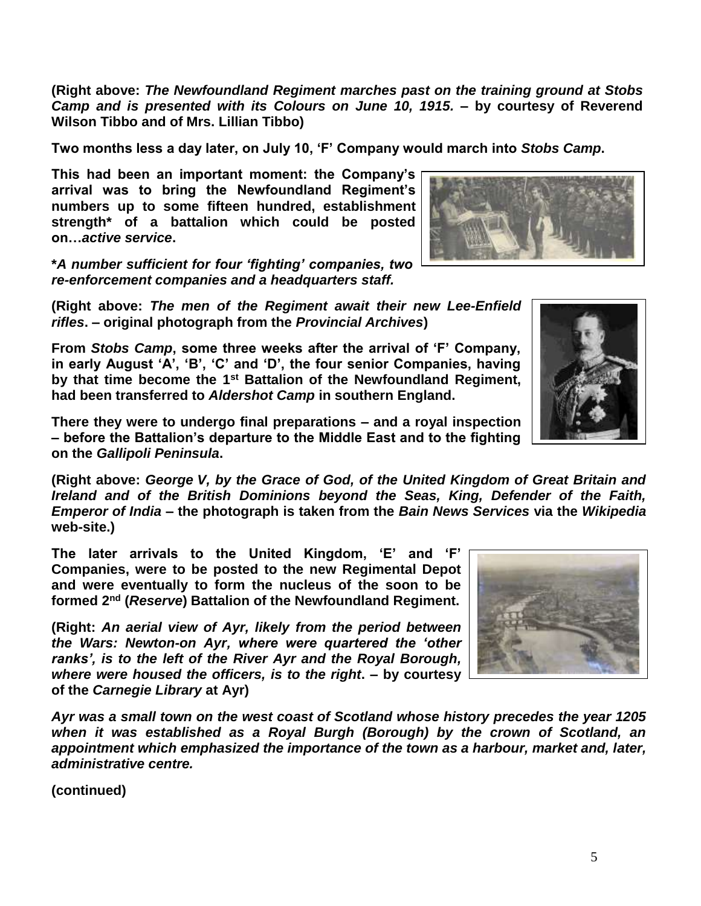**(Right above:** *The Newfoundland Regiment marches past on the training ground at Stobs Camp and is presented with its Colours on June 10, 1915.* **– by courtesy of Reverend Wilson Tibbo and of Mrs. Lillian Tibbo)**

**Two months less a day later, on July 10, 'F' Company would march into** *Stobs Camp***.** 

**This had been an important moment: the Company's arrival was to bring the Newfoundland Regiment's numbers up to some fifteen hundred, establishment strength\* of a battalion which could be posted on…***active service***.**

**\****A number sufficient for four 'fighting' companies, two re-enforcement companies and a headquarters staff.*

**(Right above:** *The men of the Regiment await their new Lee-Enfield rifles***. – original photograph from the** *Provincial Archives***)**

**From** *Stobs Camp***, some three weeks after the arrival of 'F' Company, in early August 'A', 'B', 'C' and 'D', the four senior Companies, having by that time become the 1st Battalion of the Newfoundland Regiment, had been transferred to** *Aldershot Camp* **in southern England.** 

**There they were to undergo final preparations – and a royal inspection – before the Battalion's departure to the Middle East and to the fighting on the** *Gallipoli Peninsula***.**

**(Right above:** *George V, by the Grace of God, of the United Kingdom of Great Britain and Ireland and of the British Dominions beyond the Seas, King, Defender of the Faith, Emperor of India* **– the photograph is taken from the** *Bain News Services* **via the** *Wikipedia* **web-site.)**

**The later arrivals to the United Kingdom, 'E' and 'F' Companies, were to be posted to the new Regimental Depot and were eventually to form the nucleus of the soon to be formed 2nd (***Reserve***) Battalion of the Newfoundland Regiment.** 

**(Right:** *An aerial view of Ayr, likely from the period between the Wars: Newton-on Ayr, where were quartered the 'other ranks', is to the left of the River Ayr and the Royal Borough, where were housed the officers, is to the right***. – by courtesy of the** *Carnegie Library* **at Ayr)**

*Ayr was a small town on the west coast of Scotland whose history precedes the year 1205 when it was established as a Royal Burgh (Borough) by the crown of Scotland, an appointment which emphasized the importance of the town as a harbour, market and, later, administrative centre.* 



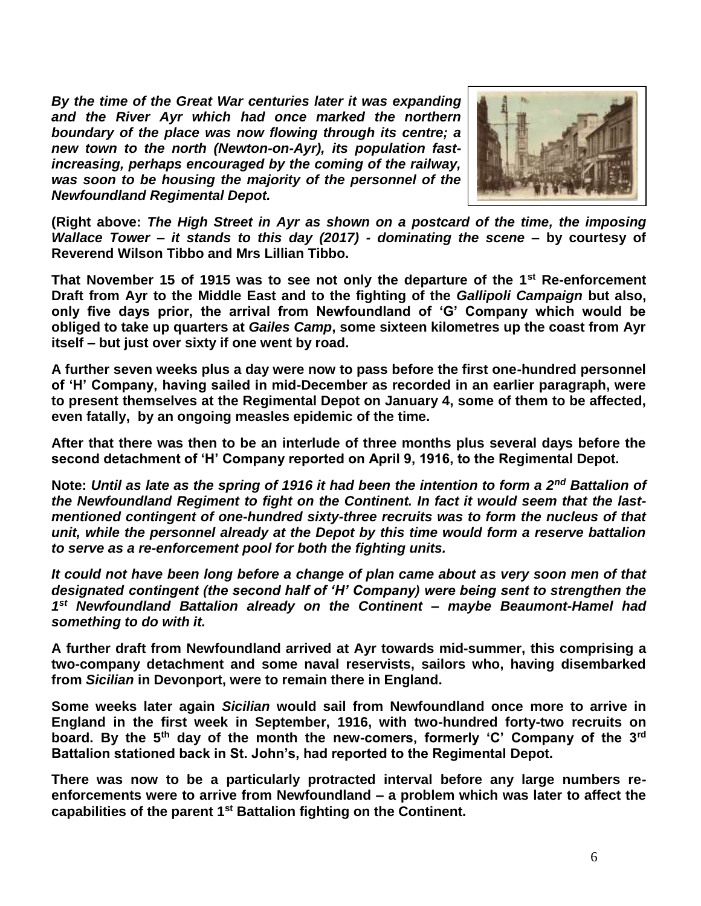*By the time of the Great War centuries later it was expanding and the River Ayr which had once marked the northern boundary of the place was now flowing through its centre; a new town to the north (Newton-on-Ayr), its population fastincreasing, perhaps encouraged by the coming of the railway, was soon to be housing the majority of the personnel of the Newfoundland Regimental Depot.* 



**(Right above:** *The High Street in Ayr as shown on a postcard of the time, the imposing Wallace Tower – it stands to this day (2017) - dominating the scene* **– by courtesy of Reverend Wilson Tibbo and Mrs Lillian Tibbo.**

**That November 15 of 1915 was to see not only the departure of the 1st Re-enforcement Draft from Ayr to the Middle East and to the fighting of the** *Gallipoli Campaign* **but also, only five days prior, the arrival from Newfoundland of 'G' Company which would be obliged to take up quarters at** *Gailes Camp***, some sixteen kilometres up the coast from Ayr itself – but just over sixty if one went by road.**

**A further seven weeks plus a day were now to pass before the first one-hundred personnel of 'H' Company, having sailed in mid-December as recorded in an earlier paragraph, were to present themselves at the Regimental Depot on January 4, some of them to be affected, even fatally, by an ongoing measles epidemic of the time.**

**After that there was then to be an interlude of three months plus several days before the second detachment of 'H' Company reported on April 9, 1916, to the Regimental Depot.**

**Note:** *Until as late as the spring of 1916 it had been the intention to form a 2nd Battalion of the Newfoundland Regiment to fight on the Continent. In fact it would seem that the lastmentioned contingent of one-hundred sixty-three recruits was to form the nucleus of that unit, while the personnel already at the Depot by this time would form a reserve battalion to serve as a re-enforcement pool for both the fighting units.*

*It could not have been long before a change of plan came about as very soon men of that designated contingent (the second half of 'H' Company) were being sent to strengthen the 1 st Newfoundland Battalion already on the Continent – maybe Beaumont-Hamel had something to do with it.*

**A further draft from Newfoundland arrived at Ayr towards mid-summer, this comprising a two-company detachment and some naval reservists, sailors who, having disembarked from** *Sicilian* **in Devonport, were to remain there in England.**

**Some weeks later again** *Sicilian* **would sail from Newfoundland once more to arrive in England in the first week in September, 1916, with two-hundred forty-two recruits on board. By the 5th day of the month the new-comers, formerly 'C' Company of the 3rd Battalion stationed back in St. John's, had reported to the Regimental Depot.**

**There was now to be a particularly protracted interval before any large numbers reenforcements were to arrive from Newfoundland – a problem which was later to affect the capabilities of the parent 1st Battalion fighting on the Continent.**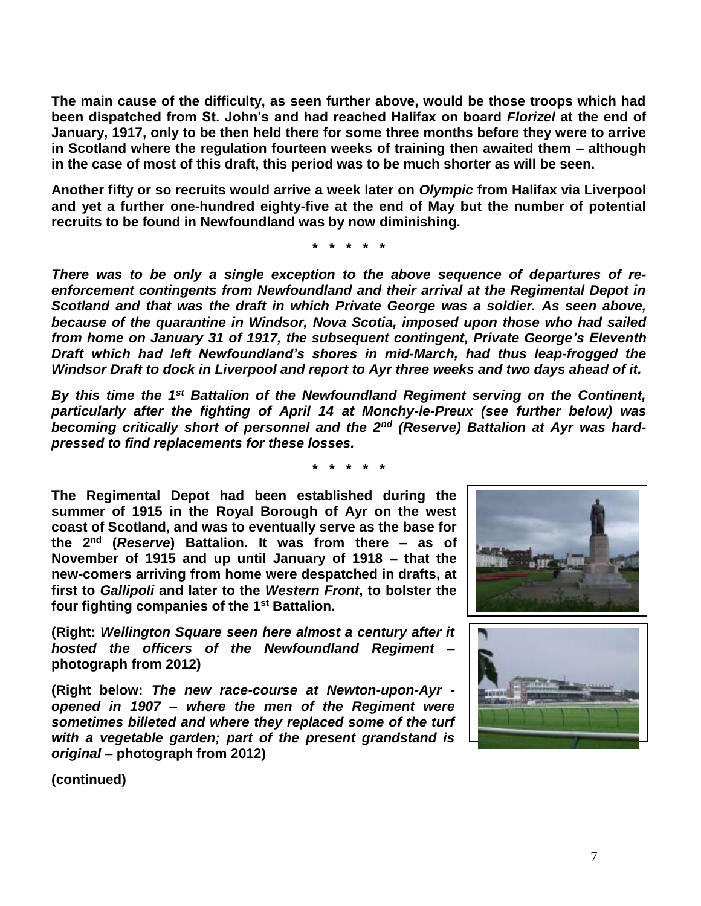**The main cause of the difficulty, as seen further above, would be those troops which had been dispatched from St. John's and had reached Halifax on board** *Florizel* **at the end of January, 1917, only to be then held there for some three months before they were to arrive in Scotland where the regulation fourteen weeks of training then awaited them – although in the case of most of this draft, this period was to be much shorter as will be seen.**

**Another fifty or so recruits would arrive a week later on** *Olympic* **from Halifax via Liverpool and yet a further one-hundred eighty-five at the end of May but the number of potential recruits to be found in Newfoundland was by now diminishing.**

**\* \* \* \* \***

*There was to be only a single exception to the above sequence of departures of reenforcement contingents from Newfoundland and their arrival at the Regimental Depot in Scotland and that was the draft in which Private George was a soldier. As seen above, because of the quarantine in Windsor, Nova Scotia, imposed upon those who had sailed from home on January 31 of 1917, the subsequent contingent, Private George's Eleventh Draft which had left Newfoundland's shores in mid-March, had thus leap-frogged the Windsor Draft to dock in Liverpool and report to Ayr three weeks and two days ahead of it.*

*By this time the 1st Battalion of the Newfoundland Regiment serving on the Continent, particularly after the fighting of April 14 at Monchy-le-Preux (see further below) was becoming critically short of personnel and the 2nd (Reserve) Battalion at Ayr was hardpressed to find replacements for these losses.*

**\* \* \* \* \***

**The Regimental Depot had been established during the summer of 1915 in the Royal Borough of Ayr on the west coast of Scotland, and was to eventually serve as the base for the 2nd (***Reserve***) Battalion. It was from there – as of November of 1915 and up until January of 1918 – that the new-comers arriving from home were despatched in drafts, at first to** *Gallipoli* **and later to the** *Western Front***, to bolster the four fighting companies of the 1st Battalion.** 

**(Right:** *Wellington Square seen here almost a century after it hosted the officers of the Newfoundland Regiment* **– photograph from 2012)**

**(Right below:** *The new race-course at Newton-upon-Ayr opened in 1907 – where the men of the Regiment were sometimes billeted and where they replaced some of the turf with a vegetable garden; part of the present grandstand is original* **– photograph from 2012)**



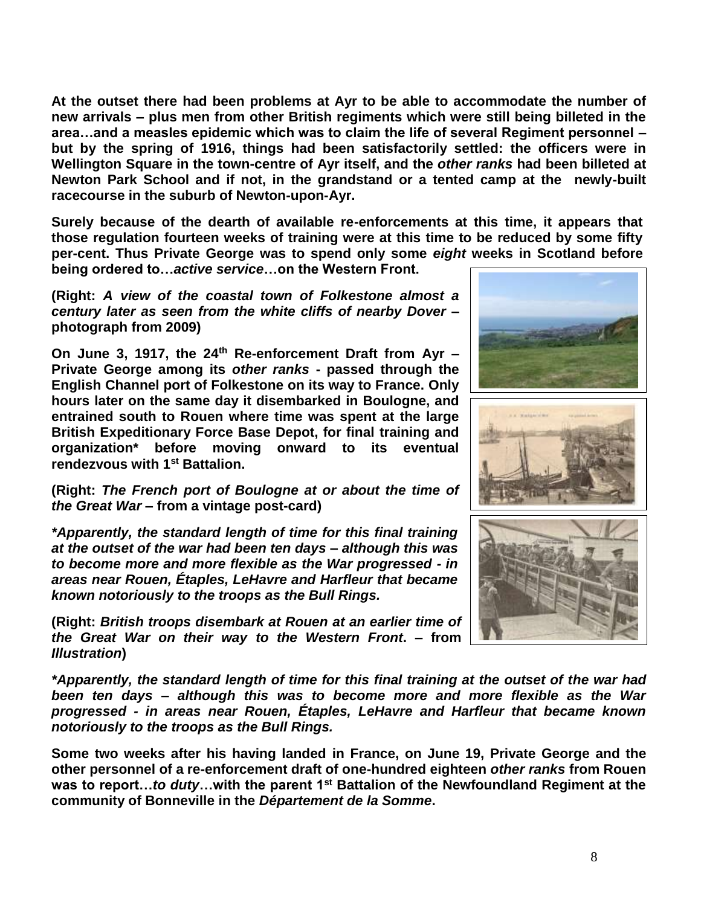**At the outset there had been problems at Ayr to be able to accommodate the number of new arrivals – plus men from other British regiments which were still being billeted in the area…and a measles epidemic which was to claim the life of several Regiment personnel – but by the spring of 1916, things had been satisfactorily settled: the officers were in Wellington Square in the town-centre of Ayr itself, and the** *other ranks* **had been billeted at Newton Park School and if not, in the grandstand or a tented camp at the newly-built racecourse in the suburb of Newton-upon-Ayr.** 

**Surely because of the dearth of available re-enforcements at this time, it appears that those regulation fourteen weeks of training were at this time to be reduced by some fifty per-cent. Thus Private George was to spend only some** *eight* **weeks in Scotland before being ordered to…***active service***…on the Western Front.** 

**(Right:** *A view of the coastal town of Folkestone almost a century later as seen from the white cliffs of nearby Dover* **– photograph from 2009)**

**On June 3, 1917, the 24th Re-enforcement Draft from Ayr – Private George among its** *other ranks* **- passed through the English Channel port of Folkestone on its way to France. Only hours later on the same day it disembarked in Boulogne, and entrained south to Rouen where time was spent at the large British Expeditionary Force Base Depot, for final training and organization\* before moving onward to its eventual rendezvous with 1st Battalion.** 

**(Right:** *The French port of Boulogne at or about the time of the Great War* **– from a vintage post-card)**

*\*Apparently, the standard length of time for this final training at the outset of the war had been ten days – although this was to become more and more flexible as the War progressed - in areas near Rouen, Étaples, LeHavre and Harfleur that became known notoriously to the troops as the Bull Rings.*

**(Right:** *British troops disembark at Rouen at an earlier time of the Great War on their way to the Western Front***. – from**  *Illustration***)**

*\*Apparently, the standard length of time for this final training at the outset of the war had been ten days – although this was to become more and more flexible as the War progressed - in areas near Rouen, Étaples, LeHavre and Harfleur that became known notoriously to the troops as the Bull Rings.*

**Some two weeks after his having landed in France, on June 19, Private George and the other personnel of a re-enforcement draft of one-hundred eighteen** *other ranks* **from Rouen was to report…***to duty***…with the parent 1st Battalion of the Newfoundland Regiment at the community of Bonneville in the** *Département de la Somme***.**





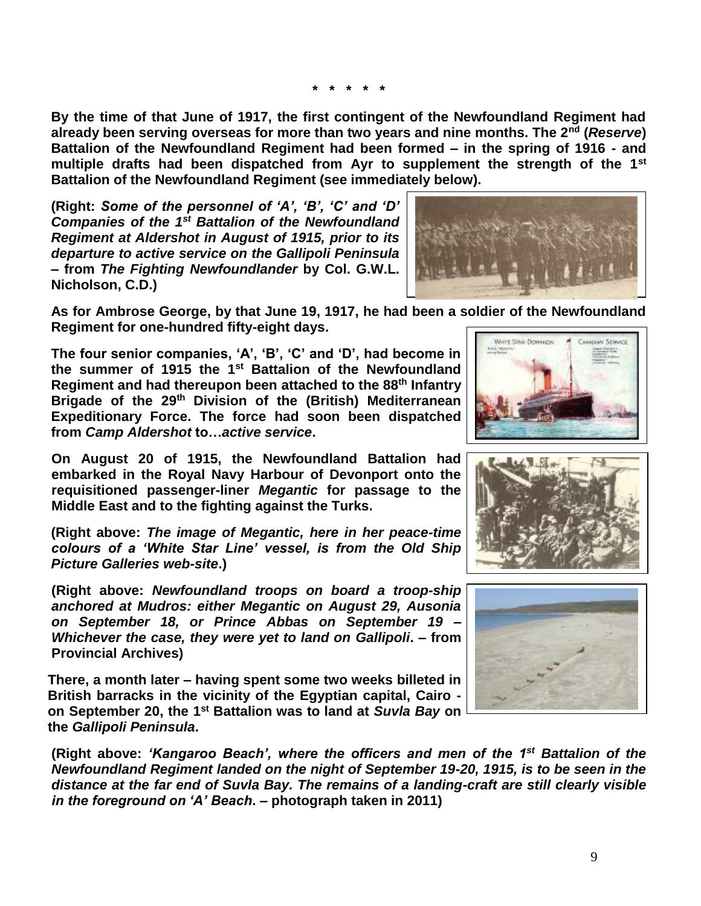**\* \* \* \* \***

**By the time of that June of 1917, the first contingent of the Newfoundland Regiment had already been serving overseas for more than two years and nine months. The 2nd (***Reserve***) Battalion of the Newfoundland Regiment had been formed – in the spring of 1916 - and multiple drafts had been dispatched from Ayr to supplement the strength of the 1st Battalion of the Newfoundland Regiment (see immediately below).** 

**(Right:** *Some of the personnel of 'A', 'B', 'C' and 'D' Companies of the 1st Battalion of the Newfoundland Regiment at Aldershot in August of 1915, prior to its departure to active service on the Gallipoli Peninsula* **– from** *The Fighting Newfoundlander* **by Col. G.W.L. Nicholson, C.D.)**



**As for Ambrose George, by that June 19, 1917, he had been a soldier of the Newfoundland Regiment for one-hundred fifty-eight days.**

**The four senior companies, 'A', 'B', 'C' and 'D', had become in the summer of 1915 the 1st Battalion of the Newfoundland Regiment and had thereupon been attached to the 88th Infantry Brigade of the 29th Division of the (British) Mediterranean Expeditionary Force. The force had soon been dispatched from** *Camp Aldershot* **to…***active service***.**

**On August 20 of 1915, the Newfoundland Battalion had embarked in the Royal Navy Harbour of Devonport onto the requisitioned passenger-liner** *Megantic* **for passage to the Middle East and to the fighting against the Turks.**

**(Right above:** *The image of Megantic, here in her peace-time colours of a 'White Star Line' vessel, is from the Old Ship Picture Galleries web-site***.)**

**(Right above:** *Newfoundland troops on board a troop-ship anchored at Mudros: either Megantic on August 29, Ausonia on September 18, or Prince Abbas on September 19 – Whichever the case, they were yet to land on Gallipoli***. – from Provincial Archives)**

**There, a month later – having spent some two weeks billeted in British barracks in the vicinity of the Egyptian capital, Cairo on September 20, the 1st Battalion was to land at** *Suvla Bay* **on the** *Gallipoli Peninsula***.**

**(Right above:** *'Kangaroo Beach', where the officers and men of the 1st Battalion of the Newfoundland Regiment landed on the night of September 19-20, 1915, is to be seen in the distance at the far end of Suvla Bay. The remains of a landing-craft are still clearly visible in the foreground on 'A' Beach***. – photograph taken in 2011)**





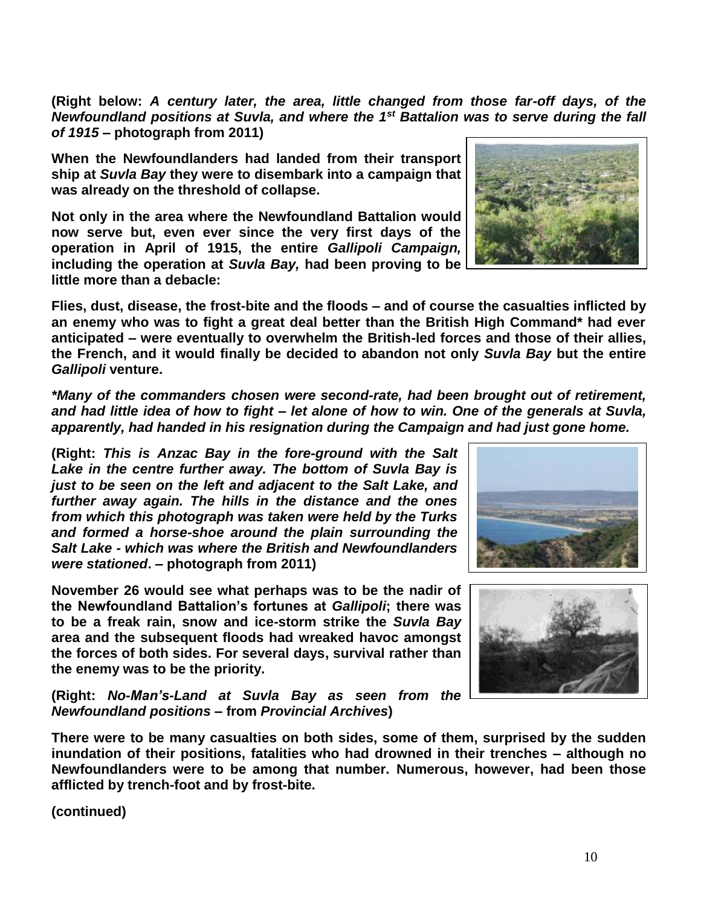**(Right below:** *A century later, the area, little changed from those far-off days, of the Newfoundland positions at Suvla, and where the 1st Battalion was to serve during the fall of 1915* **– photograph from 2011)**

**When the Newfoundlanders had landed from their transport ship at** *Suvla Bay* **they were to disembark into a campaign that was already on the threshold of collapse.**

**Not only in the area where the Newfoundland Battalion would now serve but, even ever since the very first days of the operation in April of 1915, the entire** *Gallipoli Campaign,* **including the operation at** *Suvla Bay,* **had been proving to be little more than a debacle:** 

**Flies, dust, disease, the frost-bite and the floods – and of course the casualties inflicted by an enemy who was to fight a great deal better than the British High Command\* had ever anticipated – were eventually to overwhelm the British-led forces and those of their allies, the French, and it would finally be decided to abandon not only** *Suvla Bay* **but the entire**  *Gallipoli* **venture.**

*\*Many of the commanders chosen were second-rate, had been brought out of retirement, and had little idea of how to fight – let alone of how to win. One of the generals at Suvla, apparently, had handed in his resignation during the Campaign and had just gone home.* 

**(Right:** *This is Anzac Bay in the fore-ground with the Salt Lake in the centre further away. The bottom of Suvla Bay is just to be seen on the left and adjacent to the Salt Lake, and further away again. The hills in the distance and the ones from which this photograph was taken were held by the Turks and formed a horse-shoe around the plain surrounding the Salt Lake - which was where the British and Newfoundlanders were stationed***. – photograph from 2011)**

**November 26 would see what perhaps was to be the nadir of the Newfoundland Battalion's fortunes at** *Gallipoli***; there was to be a freak rain, snow and ice-storm strike the** *Suvla Bay* **area and the subsequent floods had wreaked havoc amongst the forces of both sides. For several days, survival rather than the enemy was to be the priority.**

**(Right:** *No-Man's-Land at Suvla Bay as seen from the Newfoundland positions* **– from** *Provincial Archives***)**

**There were to be many casualties on both sides, some of them, surprised by the sudden inundation of their positions, fatalities who had drowned in their trenches – although no Newfoundlanders were to be among that number. Numerous, however, had been those afflicted by trench-foot and by frost-bite.**







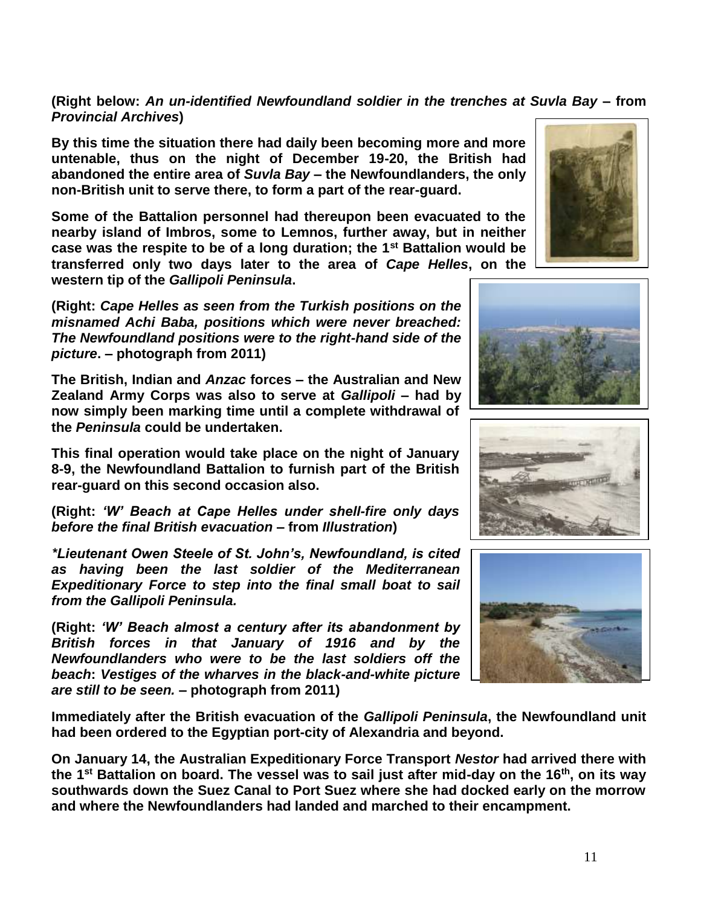**(Right below:** *An un-identified Newfoundland soldier in the trenches at Suvla Bay –* **from**  *Provincial Archives***)**

**By this time the situation there had daily been becoming more and more untenable, thus on the night of December 19-20, the British had abandoned the entire area of** *Suvla Bay* **– the Newfoundlanders, the only non-British unit to serve there, to form a part of the rear-guard.** 

**Some of the Battalion personnel had thereupon been evacuated to the nearby island of Imbros, some to Lemnos, further away, but in neither case was the respite to be of a long duration; the 1st Battalion would be transferred only two days later to the area of** *Cape Helles***, on the western tip of the** *Gallipoli Peninsula***.**

**(Right:** *Cape Helles as seen from the Turkish positions on the misnamed Achi Baba, positions which were never breached: The Newfoundland positions were to the right-hand side of the picture***. – photograph from 2011)**

**The British, Indian and** *Anzac* **forces – the Australian and New Zealand Army Corps was also to serve at** *Gallipoli* **– had by now simply been marking time until a complete withdrawal of the** *Peninsula* **could be undertaken.** 

**This final operation would take place on the night of January 8-9, the Newfoundland Battalion to furnish part of the British rear-guard on this second occasion also.**

**(Right:** *'W' Beach at Cape Helles under shell-fire only days before the final British evacuation* **– from** *Illustration***)**

*\*Lieutenant Owen Steele of St. John's, Newfoundland, is cited as having been the last soldier of the Mediterranean Expeditionary Force to step into the final small boat to sail from the Gallipoli Peninsula.*

**(Right:** *'W' Beach almost a century after its abandonment by British forces in that January of 1916 and by the Newfoundlanders who were to be the last soldiers off the beach***:** *Vestiges of the wharves in the black-and-white picture are still to be seen.* **– photograph from 2011)**

**Immediately after the British evacuation of the** *Gallipoli Peninsula***, the Newfoundland unit had been ordered to the Egyptian port-city of Alexandria and beyond.** 

**On January 14, the Australian Expeditionary Force Transport** *Nestor* **had arrived there with the 1st Battalion on board. The vessel was to sail just after mid-day on the 16th, on its way southwards down the Suez Canal to Port Suez where she had docked early on the morrow and where the Newfoundlanders had landed and marched to their encampment.**







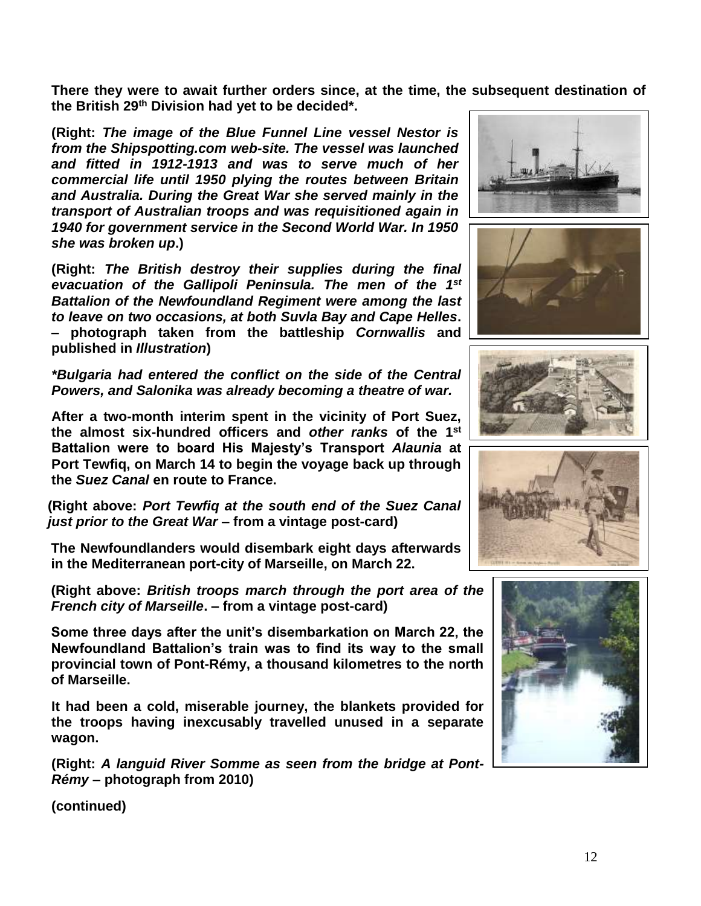**There they were to await further orders since, at the time, the subsequent destination of the British 29th Division had yet to be decided\*.**

**(Right:** *The image of the Blue Funnel Line vessel Nestor is from the Shipspotting.com web-site. The vessel was launched and fitted in 1912-1913 and was to serve much of her commercial life until 1950 plying the routes between Britain and Australia. During the Great War she served mainly in the transport of Australian troops and was requisitioned again in 1940 for government service in the Second World War. In 1950 she was broken up***.)**

**(Right:** *The British destroy their supplies during the final evacuation of the Gallipoli Peninsula. The men of the 1st Battalion of the Newfoundland Regiment were among the last to leave on two occasions, at both Suvla Bay and Cape Helles***. – photograph taken from the battleship** *Cornwallis* **and published in** *Illustration***)**

*\*Bulgaria had entered the conflict on the side of the Central Powers, and Salonika was already becoming a theatre of war.*

**After a two-month interim spent in the vicinity of Port Suez, the almost six-hundred officers and** *other ranks* **of the 1st Battalion were to board His Majesty's Transport** *Alaunia* **at Port Tewfiq, on March 14 to begin the voyage back up through the** *Suez Canal* **en route to France.**

**(Right above:** *Port Tewfiq at the south end of the Suez Canal just prior to the Great War* **– from a vintage post-card)**

**The Newfoundlanders would disembark eight days afterwards in the Mediterranean port-city of Marseille, on March 22.**

**(Right above:** *British troops march through the port area of the French city of Marseille***. – from a vintage post-card)**

**Some three days after the unit's disembarkation on March 22, the Newfoundland Battalion's train was to find its way to the small provincial town of Pont-Rémy, a thousand kilometres to the north of Marseille.** 

**It had been a cold, miserable journey, the blankets provided for the troops having inexcusably travelled unused in a separate wagon.**

**(Right:** *A languid River Somme as seen from the bridge at Pont-Rémy* **– photograph from 2010)**









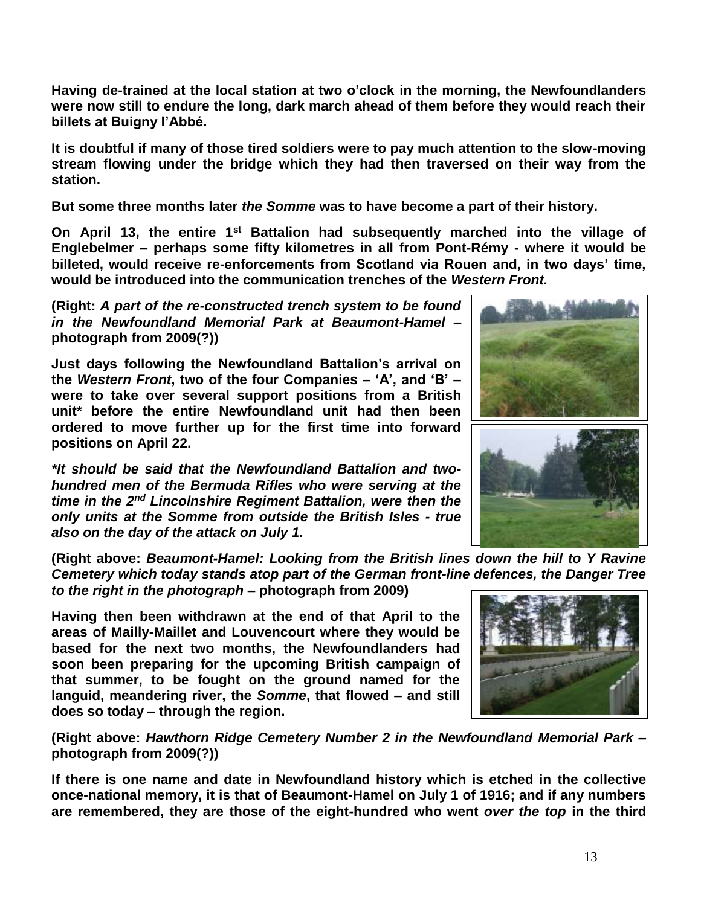**Having de-trained at the local station at two o'clock in the morning, the Newfoundlanders were now still to endure the long, dark march ahead of them before they would reach their billets at Buigny l'Abbé.**

**It is doubtful if many of those tired soldiers were to pay much attention to the slow-moving stream flowing under the bridge which they had then traversed on their way from the station.**

**But some three months later** *the Somme* **was to have become a part of their history.**

**On April 13, the entire 1st Battalion had subsequently marched into the village of Englebelmer – perhaps some fifty kilometres in all from Pont-Rémy - where it would be billeted, would receive re-enforcements from Scotland via Rouen and, in two days' time, would be introduced into the communication trenches of the** *Western Front.*

**(Right:** *A part of the re-constructed trench system to be found in the Newfoundland Memorial Park at Beaumont-Hamel* **– photograph from 2009(?))**

**Just days following the Newfoundland Battalion's arrival on the** *Western Front***, two of the four Companies – 'A', and 'B' – were to take over several support positions from a British unit\* before the entire Newfoundland unit had then been ordered to move further up for the first time into forward positions on April 22.**

*\*It should be said that the Newfoundland Battalion and twohundred men of the Bermuda Rifles who were serving at the time in the 2nd Lincolnshire Regiment Battalion, were then the only units at the Somme from outside the British Isles - true also on the day of the attack on July 1.*

**(Right above:** *Beaumont-Hamel: Looking from the British lines down the hill to Y Ravine Cemetery which today stands atop part of the German front-line defences, the Danger Tree to the right in the photograph* **– photograph from 2009)**

**Having then been withdrawn at the end of that April to the areas of Mailly-Maillet and Louvencourt where they would be based for the next two months, the Newfoundlanders had soon been preparing for the upcoming British campaign of that summer, to be fought on the ground named for the languid, meandering river, the** *Somme***, that flowed – and still does so today – through the region.**

**(Right above:** *Hawthorn Ridge Cemetery Number 2 in the Newfoundland Memorial Park* **– photograph from 2009(?))**

**If there is one name and date in Newfoundland history which is etched in the collective once-national memory, it is that of Beaumont-Hamel on July 1 of 1916; and if any numbers are remembered, they are those of the eight-hundred who went** *over the top* **in the third** 





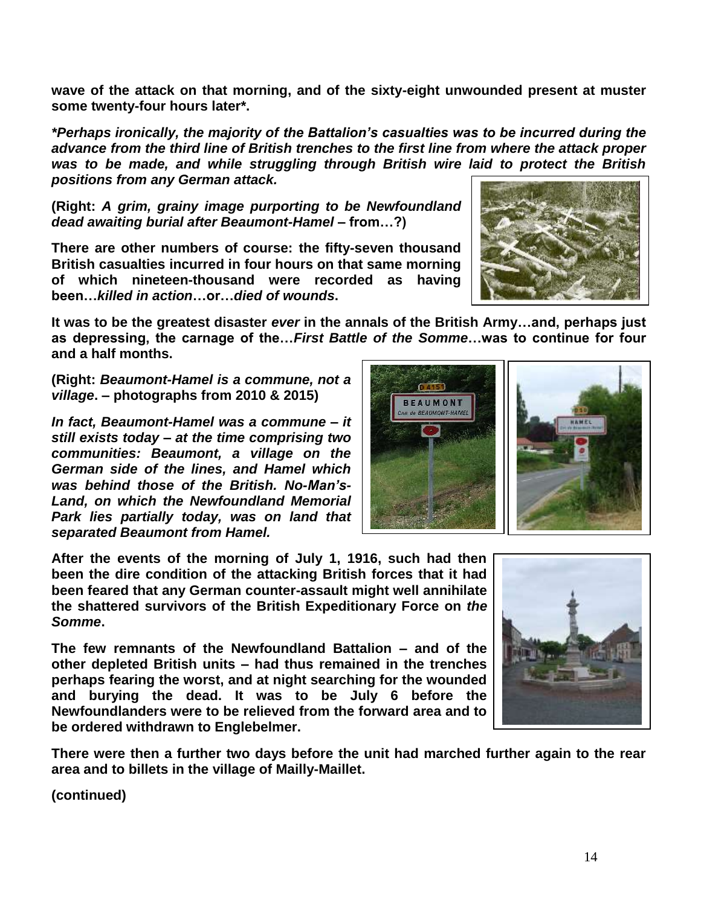**wave of the attack on that morning, and of the sixty-eight unwounded present at muster some twenty-four hours later\*.**

*\*Perhaps ironically, the majority of the Battalion's casualties was to be incurred during the advance from the third line of British trenches to the first line from where the attack proper was to be made, and while struggling through British wire laid to protect the British positions from any German attack.*

**(Right:** *A grim, grainy image purporting to be Newfoundland dead awaiting burial after Beaumont-Hamel –* **from…?)**

**There are other numbers of course: the fifty-seven thousand British casualties incurred in four hours on that same morning of which nineteen-thousand were recorded as having been…***killed in action***…or…***died of wounds***.** 

**It was to be the greatest disaster** *ever* **in the annals of the British Army…and, perhaps just as depressing, the carnage of the…***First Battle of the Somme***…was to continue for four and a half months.**

**(Right:** *Beaumont-Hamel is a commune, not a village***. – photographs from 2010 & 2015)**

*In fact, Beaumont-Hamel was a commune – it still exists today – at the time comprising two communities: Beaumont, a village on the German side of the lines, and Hamel which was behind those of the British. No-Man's-Land, on which the Newfoundland Memorial Park lies partially today, was on land that separated Beaumont from Hamel.* 

**After the events of the morning of July 1, 1916, such had then been the dire condition of the attacking British forces that it had been feared that any German counter-assault might well annihilate the shattered survivors of the British Expeditionary Force on** *the Somme***.** 

**The few remnants of the Newfoundland Battalion – and of the other depleted British units – had thus remained in the trenches perhaps fearing the worst, and at night searching for the wounded and burying the dead. It was to be July 6 before the Newfoundlanders were to be relieved from the forward area and to be ordered withdrawn to Englebelmer.** 

**There were then a further two days before the unit had marched further again to the rear area and to billets in the village of Mailly-Maillet.**





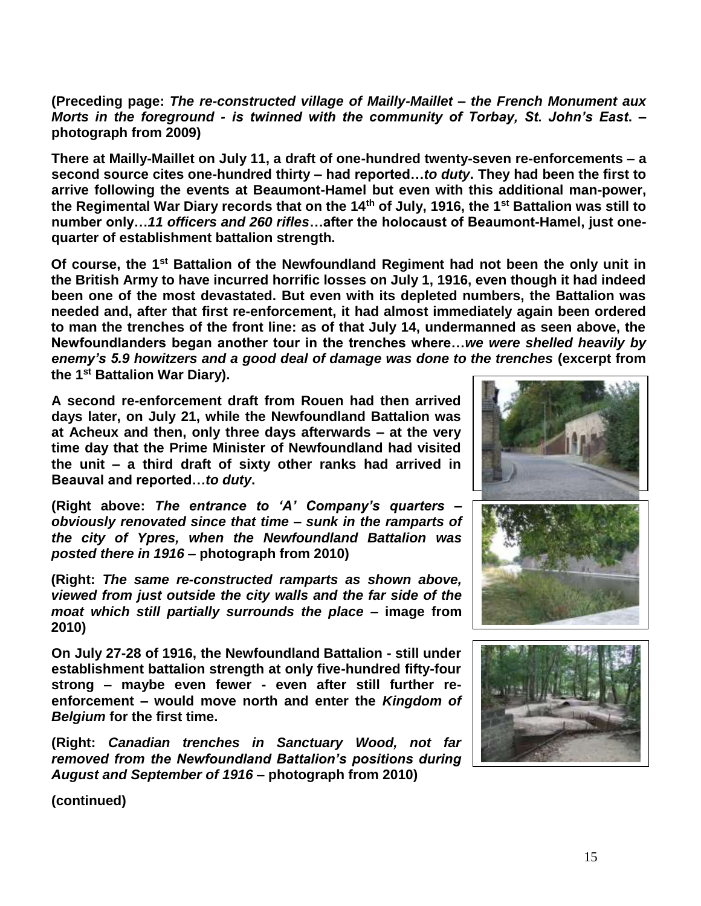**(Preceding page:** *The re-constructed village of Mailly-Maillet – the French Monument aux Morts in the foreground - is twinned with the community of Torbay, St. John's East***. – photograph from 2009)**

**There at Mailly-Maillet on July 11, a draft of one-hundred twenty-seven re-enforcements – a second source cites one-hundred thirty – had reported…***to duty***. They had been the first to arrive following the events at Beaumont-Hamel but even with this additional man-power, the Regimental War Diary records that on the 14th of July, 1916, the 1st Battalion was still to number only…***11 officers and 260 rifles***…after the holocaust of Beaumont-Hamel, just onequarter of establishment battalion strength.**

**Of course, the 1st Battalion of the Newfoundland Regiment had not been the only unit in the British Army to have incurred horrific losses on July 1, 1916, even though it had indeed been one of the most devastated. But even with its depleted numbers, the Battalion was needed and, after that first re-enforcement, it had almost immediately again been ordered to man the trenches of the front line: as of that July 14, undermanned as seen above, the Newfoundlanders began another tour in the trenches where…***we were shelled heavily by enemy's 5.9 howitzers and a good deal of damage was done to the trenches* **(excerpt from the 1st Battalion War Diary).**

**A second re-enforcement draft from Rouen had then arrived days later, on July 21, while the Newfoundland Battalion was at Acheux and then, only three days afterwards – at the very time day that the Prime Minister of Newfoundland had visited the unit – a third draft of sixty other ranks had arrived in Beauval and reported…***to duty***.** 

**(Right above:** *The entrance to 'A' Company's quarters – obviously renovated since that time – sunk in the ramparts of the city of Ypres, when the Newfoundland Battalion was posted there in 1916 –* **photograph from 2010)**

**(Right:** *The same re-constructed ramparts as shown above, viewed from just outside the city walls and the far side of the moat which still partially surrounds the place* **– image from 2010)**

**On July 27-28 of 1916, the Newfoundland Battalion - still under establishment battalion strength at only five-hundred fifty-four strong – maybe even fewer - even after still further reenforcement – would move north and enter the** *Kingdom of Belgium* **for the first time.** 

**(Right:** *Canadian trenches in Sanctuary Wood, not far removed from the Newfoundland Battalion's positions during August and September of 1916* **– photograph from 2010)**



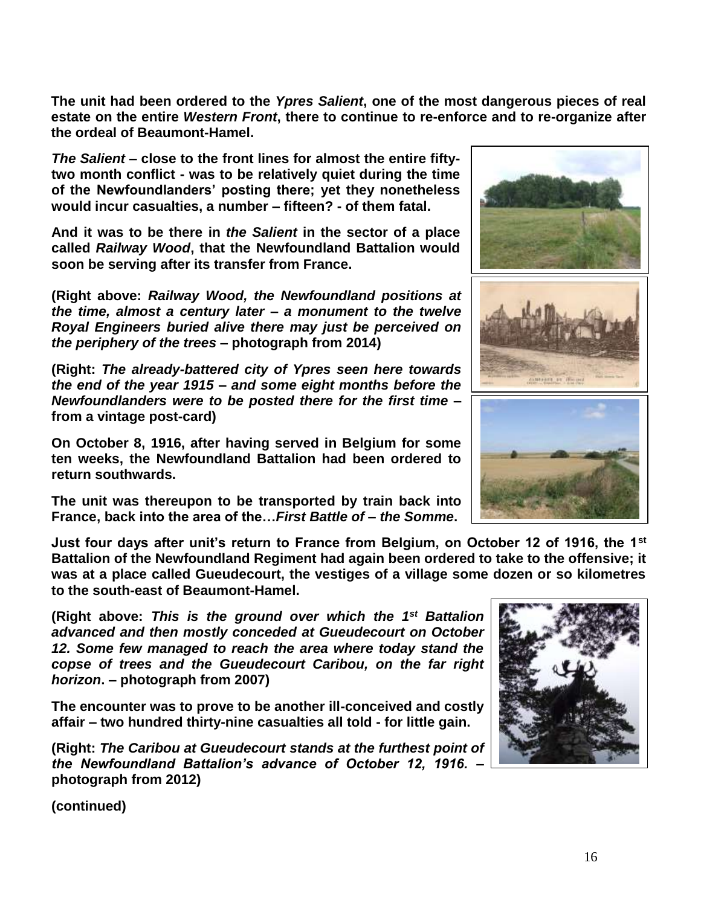**The unit had been ordered to the** *Ypres Salient***, one of the most dangerous pieces of real estate on the entire** *Western Front***, there to continue to re-enforce and to re-organize after the ordeal of Beaumont-Hamel.**

*The Salient* **– close to the front lines for almost the entire fiftytwo month conflict - was to be relatively quiet during the time of the Newfoundlanders' posting there; yet they nonetheless would incur casualties, a number – fifteen? - of them fatal.**

**And it was to be there in** *the Salient* **in the sector of a place called** *Railway Wood***, that the Newfoundland Battalion would soon be serving after its transfer from France.**

**(Right above:** *Railway Wood, the Newfoundland positions at the time, almost a century later – a monument to the twelve Royal Engineers buried alive there may just be perceived on the periphery of the trees* **– photograph from 2014)**

**(Right:** *The already-battered city of Ypres seen here towards the end of the year 1915 – and some eight months before the Newfoundlanders were to be posted there for the first time* **– from a vintage post-card)**

**On October 8, 1916, after having served in Belgium for some ten weeks, the Newfoundland Battalion had been ordered to return southwards.** 

**The unit was thereupon to be transported by train back into France, back into the area of the…***First Battle of* **–** *the Somme***.**

**Just four days after unit's return to France from Belgium, on October 12 of 1916, the 1st Battalion of the Newfoundland Regiment had again been ordered to take to the offensive; it was at a place called Gueudecourt, the vestiges of a village some dozen or so kilometres to the south-east of Beaumont-Hamel.**

(Right above: This is the ground over which the 1<sup>st</sup> Battalion *advanced and then mostly conceded at Gueudecourt on October 12. Some few managed to reach the area where today stand the copse of trees and the Gueudecourt Caribou, on the far right horizon***. – photograph from 2007)**

**The encounter was to prove to be another ill-conceived and costly affair – two hundred thirty-nine casualties all told - for little gain.**

**(Right:** *The Caribou at Gueudecourt stands at the furthest point of the Newfoundland Battalion's advance of October 12, 1916.* **– photograph from 2012)**



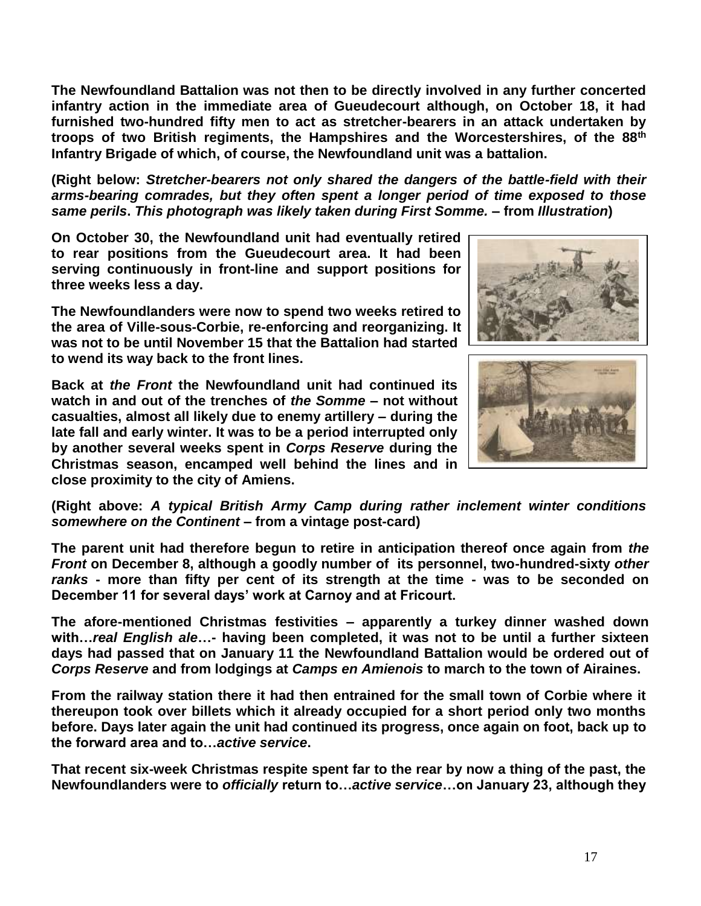**The Newfoundland Battalion was not then to be directly involved in any further concerted infantry action in the immediate area of Gueudecourt although, on October 18, it had furnished two-hundred fifty men to act as stretcher-bearers in an attack undertaken by troops of two British regiments, the Hampshires and the Worcestershires, of the 88th Infantry Brigade of which, of course, the Newfoundland unit was a battalion.**

**(Right below:** *Stretcher-bearers not only shared the dangers of the battle-field with their arms-bearing comrades, but they often spent a longer period of time exposed to those same perils***.** *This photograph was likely taken during First Somme.* **– from** *Illustration***)**

**On October 30, the Newfoundland unit had eventually retired to rear positions from the Gueudecourt area. It had been serving continuously in front-line and support positions for three weeks less a day.**

**The Newfoundlanders were now to spend two weeks retired to the area of Ville-sous-Corbie, re-enforcing and reorganizing. It was not to be until November 15 that the Battalion had started to wend its way back to the front lines.** 

**Back at** *the Front* **the Newfoundland unit had continued its watch in and out of the trenches of** *the Somme* **– not without casualties, almost all likely due to enemy artillery – during the late fall and early winter. It was to be a period interrupted only by another several weeks spent in** *Corps Reserve* **during the Christmas season, encamped well behind the lines and in close proximity to the city of Amiens.**





**(Right above:** *A typical British Army Camp during rather inclement winter conditions somewhere on the Continent* **– from a vintage post-card)** 

**The parent unit had therefore begun to retire in anticipation thereof once again from** *the Front* **on December 8, although a goodly number of its personnel, two-hundred-sixty** *other ranks* **- more than fifty per cent of its strength at the time - was to be seconded on December 11 for several days' work at Carnoy and at Fricourt.**

**The afore-mentioned Christmas festivities – apparently a turkey dinner washed down with…***real English ale***…- having been completed, it was not to be until a further sixteen days had passed that on January 11 the Newfoundland Battalion would be ordered out of**  *Corps Reserve* **and from lodgings at** *Camps en Amienois* **to march to the town of Airaines.**

**From the railway station there it had then entrained for the small town of Corbie where it thereupon took over billets which it already occupied for a short period only two months before. Days later again the unit had continued its progress, once again on foot, back up to the forward area and to…***active service***.**

**That recent six-week Christmas respite spent far to the rear by now a thing of the past, the Newfoundlanders were to** *officially* **return to…***active service***…on January 23, although they**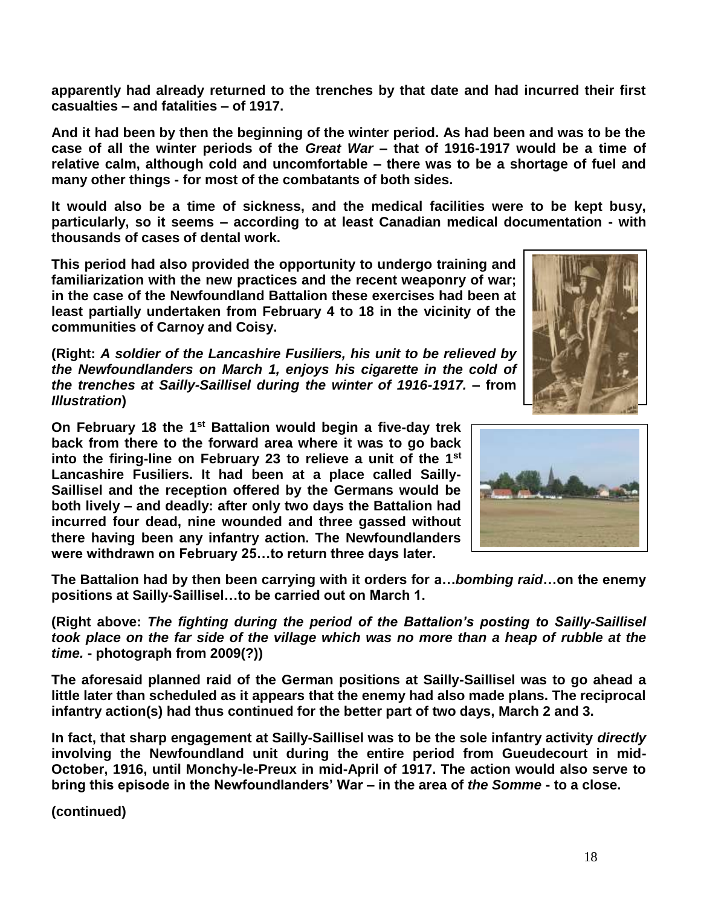**apparently had already returned to the trenches by that date and had incurred their first casualties – and fatalities – of 1917.**

**And it had been by then the beginning of the winter period. As had been and was to be the case of all the winter periods of the** *Great War* **– that of 1916-1917 would be a time of relative calm, although cold and uncomfortable – there was to be a shortage of fuel and many other things - for most of the combatants of both sides.** 

**It would also be a time of sickness, and the medical facilities were to be kept busy, particularly, so it seems – according to at least Canadian medical documentation - with thousands of cases of dental work.**

**This period had also provided the opportunity to undergo training and familiarization with the new practices and the recent weaponry of war; in the case of the Newfoundland Battalion these exercises had been at least partially undertaken from February 4 to 18 in the vicinity of the communities of Carnoy and Coisy.**

**(Right:** *A soldier of the Lancashire Fusiliers, his unit to be relieved by the Newfoundlanders on March 1, enjoys his cigarette in the cold of the trenches at Sailly-Saillisel during the winter of 1916-1917. –* **from**  *Illustration***)**

**On February 18 the 1st Battalion would begin a five-day trek back from there to the forward area where it was to go back into the firing-line on February 23 to relieve a unit of the 1st Lancashire Fusiliers. It had been at a place called Sailly-Saillisel and the reception offered by the Germans would be both lively – and deadly: after only two days the Battalion had incurred four dead, nine wounded and three gassed without there having been any infantry action. The Newfoundlanders were withdrawn on February 25…to return three days later.**

**The Battalion had by then been carrying with it orders for a…***bombing raid***…on the enemy positions at Sailly-Saillisel…to be carried out on March 1.**

**(Right above:** *The fighting during the period of the Battalion's posting to Sailly-Saillisel took place on the far side of the village which was no more than a heap of rubble at the time.* **- photograph from 2009(?))**

**The aforesaid planned raid of the German positions at Sailly-Saillisel was to go ahead a little later than scheduled as it appears that the enemy had also made plans. The reciprocal infantry action(s) had thus continued for the better part of two days, March 2 and 3.** 

**In fact, that sharp engagement at Sailly-Saillisel was to be the sole infantry activity** *directly* **involving the Newfoundland unit during the entire period from Gueudecourt in mid-October, 1916, until Monchy-le-Preux in mid-April of 1917. The action would also serve to bring this episode in the Newfoundlanders' War – in the area of** *the Somme* **- to a close.**



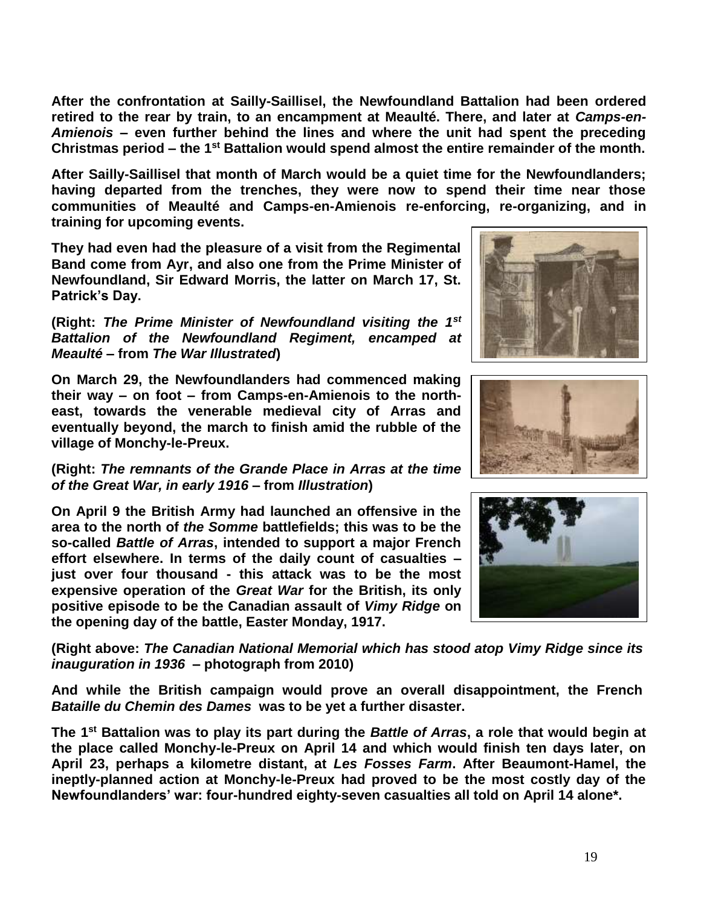**After the confrontation at Sailly-Saillisel, the Newfoundland Battalion had been ordered retired to the rear by train, to an encampment at Meaulté. There, and later at** *Camps-en-Amienois* **– even further behind the lines and where the unit had spent the preceding Christmas period – the 1st Battalion would spend almost the entire remainder of the month.**

**After Sailly-Saillisel that month of March would be a quiet time for the Newfoundlanders; having departed from the trenches, they were now to spend their time near those communities of Meaulté and Camps-en-Amienois re-enforcing, re-organizing, and in training for upcoming events.**

**They had even had the pleasure of a visit from the Regimental Band come from Ayr, and also one from the Prime Minister of Newfoundland, Sir Edward Morris, the latter on March 17, St. Patrick's Day.**

**(Right:** *The Prime Minister of Newfoundland visiting the 1st Battalion of the Newfoundland Regiment, encamped at Meaulté* **– from** *The War Illustrated***)**

**On March 29, the Newfoundlanders had commenced making their way – on foot – from Camps-en-Amienois to the northeast, towards the venerable medieval city of Arras and eventually beyond, the march to finish amid the rubble of the village of Monchy-le-Preux.** 

**(Right:** *The remnants of the Grande Place in Arras at the time of the Great War, in early 1916* **– from** *Illustration***)**

**On April 9 the British Army had launched an offensive in the area to the north of** *the Somme* **battlefields; this was to be the so-called** *Battle of Arras***, intended to support a major French effort elsewhere. In terms of the daily count of casualties – just over four thousand - this attack was to be the most expensive operation of the** *Great War* **for the British, its only positive episode to be the Canadian assault of** *Vimy Ridge* **on the opening day of the battle, Easter Monday, 1917.** 

**(Right above:** *The Canadian National Memorial which has stood atop Vimy Ridge since its inauguration in 1936* **– photograph from 2010)**

**And while the British campaign would prove an overall disappointment, the French**  *Bataille du Chemin des Dames* **was to be yet a further disaster.**

**The 1st Battalion was to play its part during the** *Battle of Arras***, a role that would begin at the place called Monchy-le-Preux on April 14 and which would finish ten days later, on April 23, perhaps a kilometre distant, at** *Les Fosses Farm***. After Beaumont-Hamel, the ineptly-planned action at Monchy-le-Preux had proved to be the most costly day of the Newfoundlanders' war: four-hundred eighty-seven casualties all told on April 14 alone\*.**





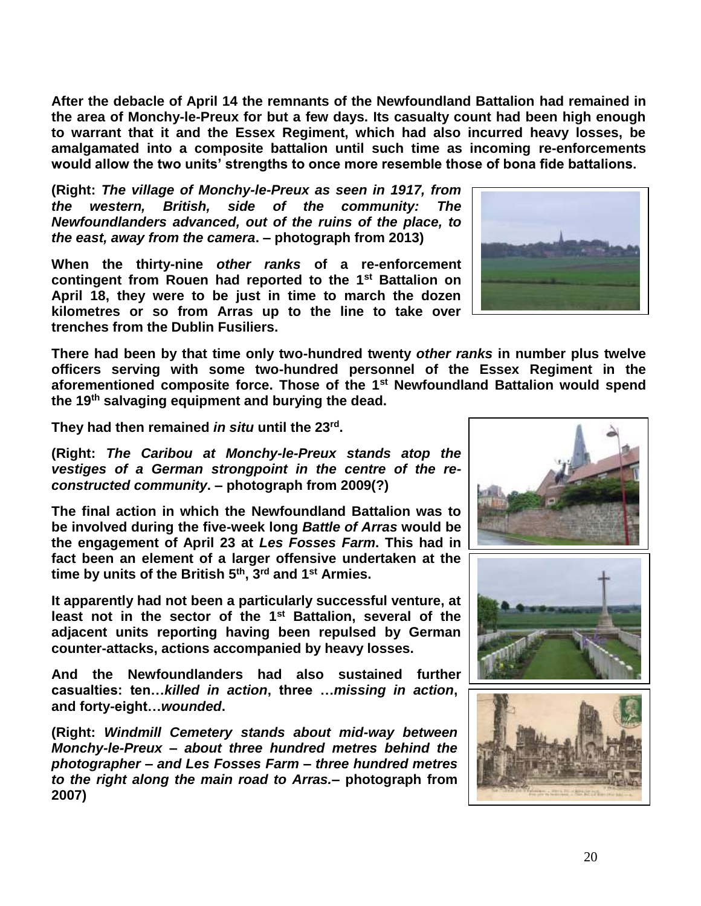**After the debacle of April 14 the remnants of the Newfoundland Battalion had remained in the area of Monchy-le-Preux for but a few days. Its casualty count had been high enough to warrant that it and the Essex Regiment, which had also incurred heavy losses, be amalgamated into a composite battalion until such time as incoming re-enforcements would allow the two units' strengths to once more resemble those of bona fide battalions.**

**(Right:** *The village of Monchy-le-Preux as seen in 1917, from the western, British, side of the community: The Newfoundlanders advanced, out of the ruins of the place, to the east, away from the camera***. – photograph from 2013)**

**When the thirty-nine** *other ranks* **of a re-enforcement contingent from Rouen had reported to the 1st Battalion on April 18, they were to be just in time to march the dozen kilometres or so from Arras up to the line to take over trenches from the Dublin Fusiliers.** 

**There had been by that time only two-hundred twenty** *other ranks* **in number plus twelve officers serving with some two-hundred personnel of the Essex Regiment in the aforementioned composite force. Those of the 1st Newfoundland Battalion would spend the 19th salvaging equipment and burying the dead.** 

**They had then remained** *in situ* **until the 23rd .**

**(Right:** *The Caribou at Monchy-le-Preux stands atop the vestiges of a German strongpoint in the centre of the reconstructed community***. – photograph from 2009(?)**

**The final action in which the Newfoundland Battalion was to be involved during the five-week long** *Battle of Arras* **would be the engagement of April 23 at** *Les Fosses Farm***. This had in fact been an element of a larger offensive undertaken at the time by units of the British 5th, 3rd and 1st Armies.**

**It apparently had not been a particularly successful venture, at least not in the sector of the 1st Battalion, several of the adjacent units reporting having been repulsed by German counter-attacks, actions accompanied by heavy losses.**

**And the Newfoundlanders had also sustained further casualties: ten…***killed in action***, three …***missing in action***, and forty-eight…***wounded***.**

**(Right:** *Windmill Cemetery stands about mid-way between Monchy-le-Preux – about three hundred metres behind the photographer – and Les Fosses Farm – three hundred metres to the right along the main road to Arras.***– photograph from 2007)**







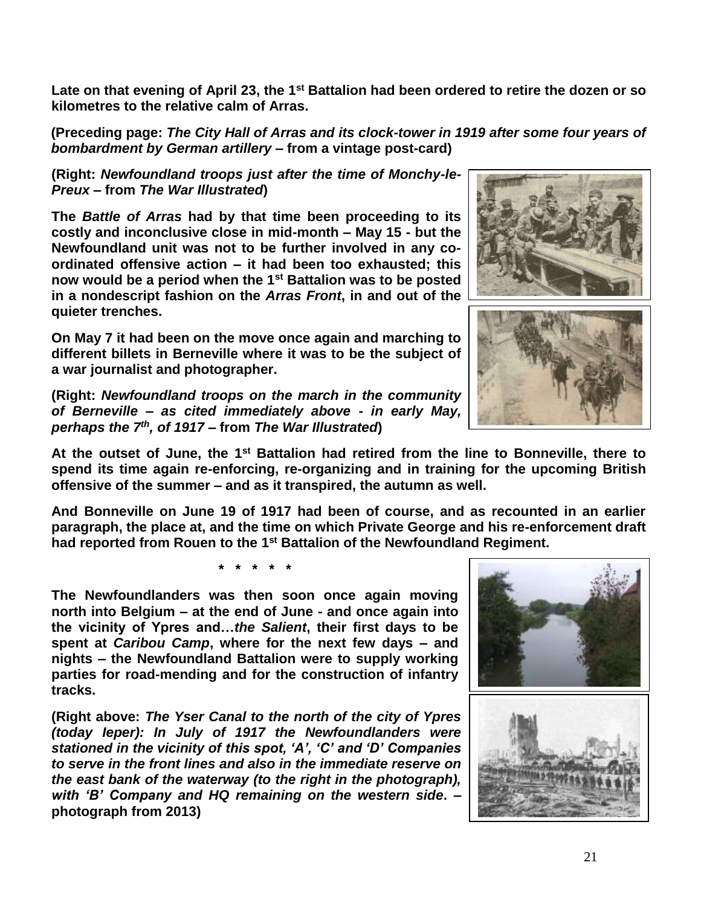**Late on that evening of April 23, the 1st Battalion had been ordered to retire the dozen or so kilometres to the relative calm of Arras.** 

**(Preceding page:** *The City Hall of Arras and its clock-tower in 1919 after some four years of bombardment by German artillery* **– from a vintage post-card)** 

**(Right:** *Newfoundland troops just after the time of Monchy-le-Preux* **– from** *The War Illustrated***)**

**The** *Battle of Arras* **had by that time been proceeding to its costly and inconclusive close in mid-month – May 15 - but the Newfoundland unit was not to be further involved in any coordinated offensive action – it had been too exhausted; this now would be a period when the 1st Battalion was to be posted in a nondescript fashion on the** *Arras Front***, in and out of the quieter trenches.** 

**On May 7 it had been on the move once again and marching to different billets in Berneville where it was to be the subject of a war journalist and photographer.**

**(Right:** *Newfoundland troops on the march in the community of Berneville – as cited immediately above - in early May, perhaps the 7th , of 1917* **– from** *The War Illustrated***)**

**At the outset of June, the 1st Battalion had retired from the line to Bonneville, there to spend its time again re-enforcing, re-organizing and in training for the upcoming British offensive of the summer – and as it transpired, the autumn as well.**

**And Bonneville on June 19 of 1917 had been of course, and as recounted in an earlier paragraph, the place at, and the time on which Private George and his re-enforcement draft had reported from Rouen to the 1st Battalion of the Newfoundland Regiment.** 

**\* \* \* \* \***

**The Newfoundlanders was then soon once again moving north into Belgium – at the end of June - and once again into the vicinity of Ypres and…***the Salient***, their first days to be spent at** *Caribou Camp***, where for the next few days – and nights – the Newfoundland Battalion were to supply working parties for road-mending and for the construction of infantry tracks.**

**(Right above:** *The Yser Canal to the north of the city of Ypres (today Ieper): In July of 1917 the Newfoundlanders were stationed in the vicinity of this spot, 'A', 'C' and 'D' Companies to serve in the front lines and also in the immediate reserve on the east bank of the waterway (to the right in the photograph), with 'B' Company and HQ remaining on the western side***. – photograph from 2013)**







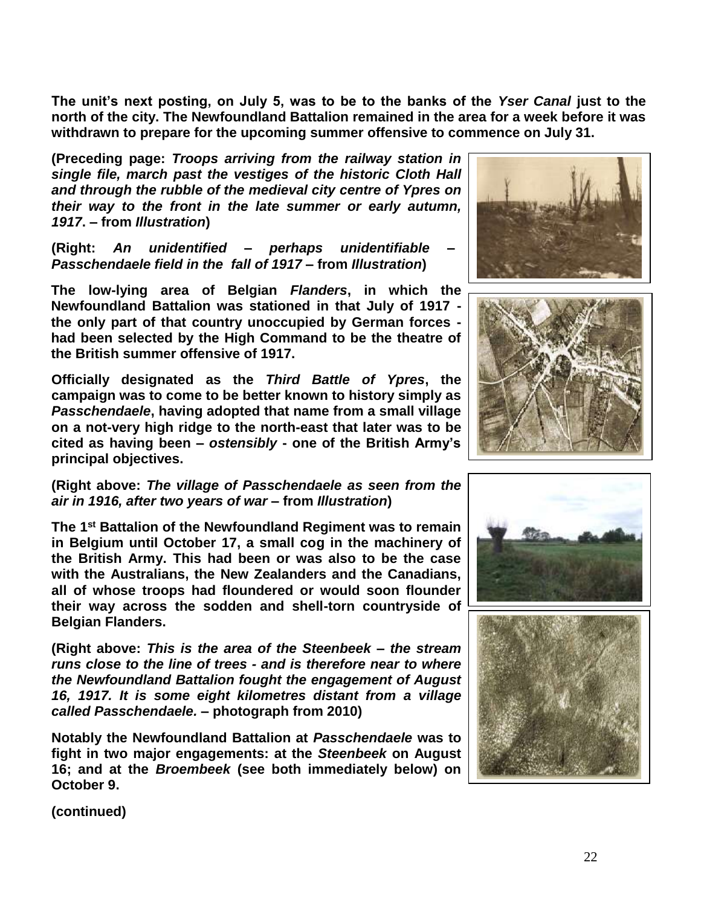**The unit's next posting, on July 5, was to be to the banks of the** *Yser Canal* **just to the north of the city. The Newfoundland Battalion remained in the area for a week before it was withdrawn to prepare for the upcoming summer offensive to commence on July 31.** 

**(Preceding page:** *Troops arriving from the railway station in single file, march past the vestiges of the historic Cloth Hall and through the rubble of the medieval city centre of Ypres on their way to the front in the late summer or early autumn, 1917***. – from** *Illustration***)**

**(Right:** *An unidentified – perhaps unidentifiable – Passchendaele field in the fall of 1917* **– from** *Illustration***)**

**The low-lying area of Belgian** *Flanders***, in which the Newfoundland Battalion was stationed in that July of 1917 the only part of that country unoccupied by German forces had been selected by the High Command to be the theatre of the British summer offensive of 1917.**

**Officially designated as the** *Third Battle of Ypres***, the campaign was to come to be better known to history simply as**  *Passchendaele***, having adopted that name from a small village on a not-very high ridge to the north-east that later was to be cited as having been –** *ostensibly* **- one of the British Army's principal objectives.**

**(Right above:** *The village of Passchendaele as seen from the air in 1916, after two years of war* **– from** *Illustration***)**

**The 1st Battalion of the Newfoundland Regiment was to remain in Belgium until October 17, a small cog in the machinery of the British Army. This had been or was also to be the case with the Australians, the New Zealanders and the Canadians, all of whose troops had floundered or would soon flounder their way across the sodden and shell-torn countryside of Belgian Flanders.**

**(Right above:** *This is the area of the Steenbeek – the stream runs close to the line of trees - and is therefore near to where the Newfoundland Battalion fought the engagement of August 16, 1917. It is some eight kilometres distant from a village called Passchendaele.* **– photograph from 2010)**

**Notably the Newfoundland Battalion at** *Passchendaele* **was to fight in two major engagements: at the** *Steenbeek* **on August 16; and at the** *Broembeek* **(see both immediately below) on October 9.** 







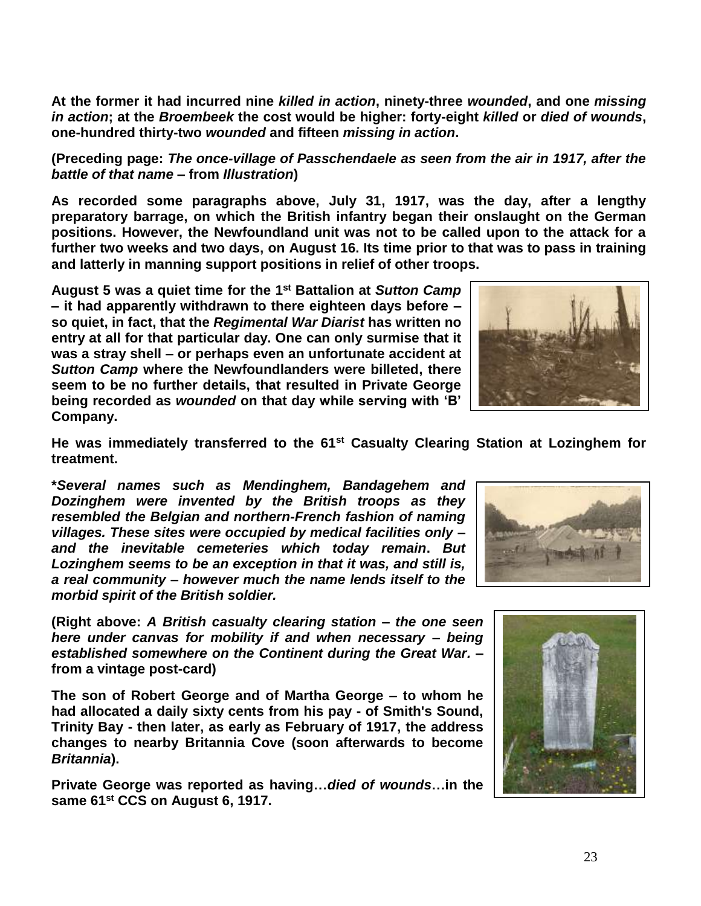**At the former it had incurred nine** *killed in action***, ninety-three** *wounded***, and one** *missing in action***; at the** *Broembeek* **the cost would be higher: forty-eight** *killed* **or** *died of wounds***, one-hundred thirty-two** *wounded* **and fifteen** *missing in action***.**

**(Preceding page:** *The once-village of Passchendaele as seen from the air in 1917, after the battle of that name* **– from** *Illustration***)**

**As recorded some paragraphs above, July 31, 1917, was the day, after a lengthy preparatory barrage, on which the British infantry began their onslaught on the German positions. However, the Newfoundland unit was not to be called upon to the attack for a further two weeks and two days, on August 16. Its time prior to that was to pass in training and latterly in manning support positions in relief of other troops.**

**August 5 was a quiet time for the 1 st Battalion at** *Sutton Camp* **– it had apparently withdrawn to there eighteen days before – so quiet, in fact, that the** *Regimental War Diarist* **has written no entry at all for that particular day. One can only surmise that it was a stray shell – or perhaps even an unfortunate accident at**  *Sutton Camp* **where the Newfoundlanders were billeted, there seem to be no further details, that resulted in Private George being recorded as** *wounded* **on that day while serving with 'B' Company.** 



**He was immediately transferred to the 61st Casualty Clearing Station at Lozinghem for treatment.**

**\****Several names such as Mendinghem, Bandagehem and Dozinghem were invented by the British troops as they resembled the Belgian and northern-French fashion of naming villages. These sites were occupied by medical facilities only – and the inevitable cemeteries which today remain***.** *But Lozinghem seems to be an exception in that it was, and still is, a real community – however much the name lends itself to the morbid spirit of the British soldier.*

**(Right above:** *A British casualty clearing station – the one seen here under canvas for mobility if and when necessary – being established somewhere on the Continent during the Great War.* **– from a vintage post-card)**

**The son of Robert George and of Martha George – to whom he had allocated a daily sixty cents from his pay - of Smith's Sound, Trinity Bay - then later, as early as February of 1917, the address changes to nearby Britannia Cove (soon afterwards to become**  *Britannia***).**

**Private George was reported as having…***died of wounds***…in the same 61st CCS on August 6, 1917.**